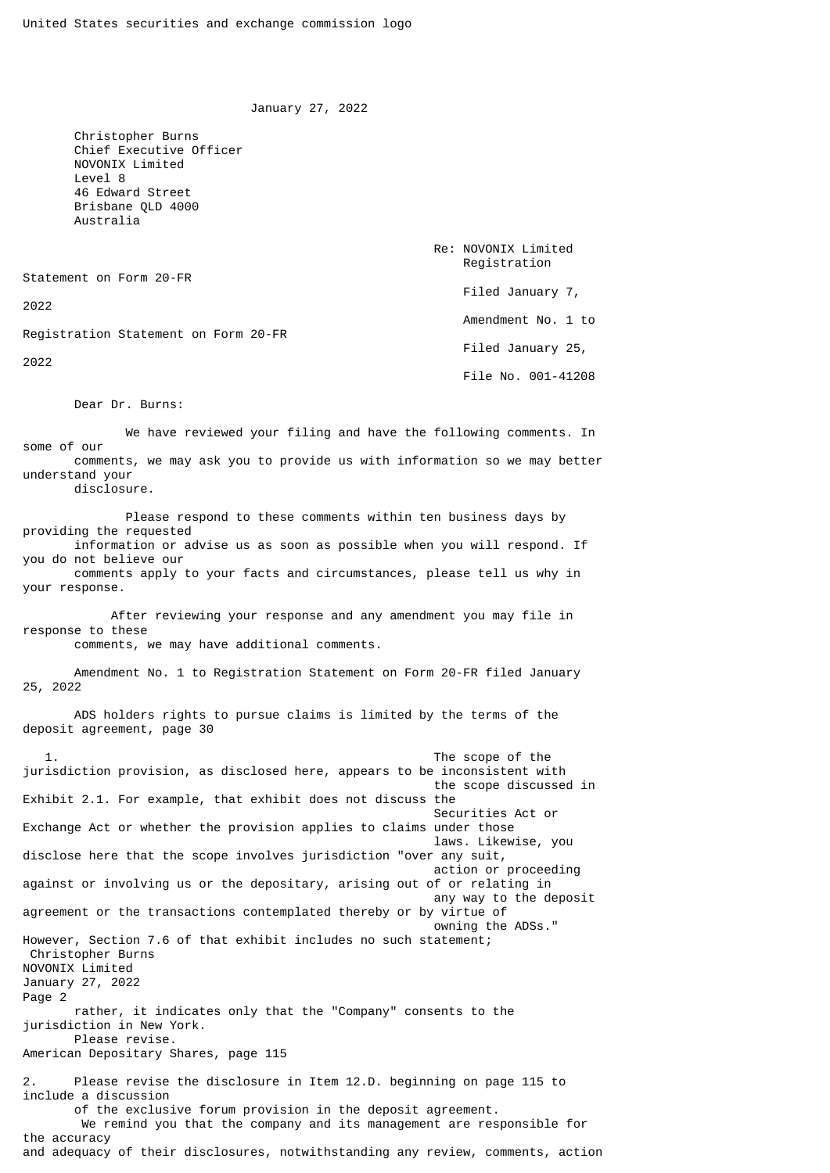January 27, 2022

 Christopher Burns Chief Executive Officer NOVONIX Limited Level 8 46 Edward Street Brisbane QLD 4000 Australia

Statement on Form 20-FR

2022

Registration Statement on Form 20-FR

2022

 Filed January 7, Amendment No. 1 to Filed January 25,

File No. 001-41208

 Re: NOVONIX Limited Registration

Dear Dr. Burns:

 We have reviewed your filing and have the following comments. In some of our comments, we may ask you to provide us with information so we may better understand your

disclosure.

 Please respond to these comments within ten business days by providing the requested information or advise us as soon as possible when you will respond. If you do not believe our

 comments apply to your facts and circumstances, please tell us why in your response.

 After reviewing your response and any amendment you may file in response to these comments, we may have additional comments.

 Amendment No. 1 to Registration Statement on Form 20-FR filed January 25, 2022

 ADS holders rights to pursue claims is limited by the terms of the deposit agreement, page 30

 1. The scope of the jurisdiction provision, as disclosed here, appears to be inconsistent with the scope discussed in Exhibit 2.1. For example, that exhibit does not discuss the Securities Act or Exchange Act or whether the provision applies to claims under those laws. Likewise, you disclose here that the scope involves jurisdiction "over any suit, action or proceeding against or involving us or the depositary, arising out of or relating in any way to the deposit agreement or the transactions contemplated thereby or by virtue of owning the ADSs." However, Section 7.6 of that exhibit includes no such statement; Christopher Burns NOVONIX Limited January 27, 2022 Page 2 rather, it indicates only that the "Company" consents to the jurisdiction in New York. Please revise. American Depositary Shares, page 115 2. Please revise the disclosure in Item 12.D. beginning on page 115 to include a discussion of the exclusive forum provision in the deposit agreement. We remind you that the company and its management are responsible for the accuracy

and adequacy of their disclosures, notwithstanding any review, comments, action